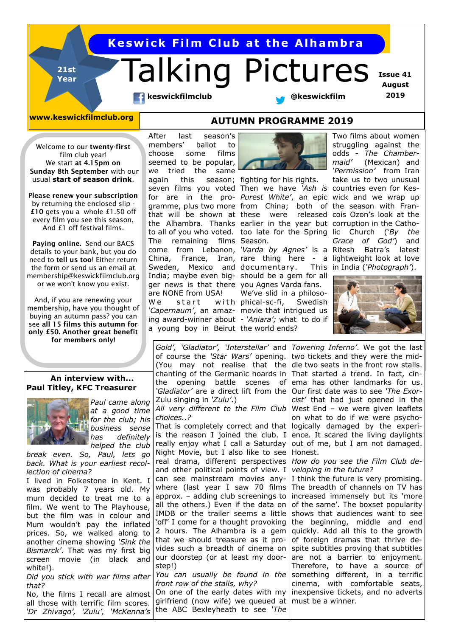## **Keswick Film Club at the Alhambra**

# Talking Pictures

 **Issue 41 August 2019**

**keswickfilmclub With Construction With Lineswickfilm** 

**21st Year**

**www.keswickfilmclub.org AUTUMN PROGRAMME 2019**

Welcome to our **twenty-first**  film club year! We start **at 4.15pm on Sunday 8th September** with our usual **start of season drink**.

P**lease renew your subscription**  by returning the enclosed slip - **£10** gets you a whole £1.50 off every film you see this season, And £1 off festival films.

**Paying online.** Send our BACS details to your bank, but you do need to **tell us too**! Either return the form or send us an email at membership@keswickfilmclub.org or we won't know you exist.

And, if you are renewing your membership, have you thought of buying an autumn pass? you can see **all 15 films this autumn for only £50. Another great benefit for members only!**

#### **An interview with... Paul Titley, KFC Treasurer**



*Paul came along at a good time for the club; his business sense has definitely helped the club* 

*break even. So, Paul, lets go back. What is your earliest recollection of cinema?*

I lived in Folkestone in Kent. I was probably 7 years old. My mum decided to treat me to a film. We went to The Playhouse, but the film was in colour and Mum wouldn't pay the inflated prices. So, we walked along to another cinema showing *'Sink the Bismarck'*. That was my first big screen movie (in black and white!).

*Did you stick with war films after that?* 

No, the films I recall are almost all those with terrific film scores. *'Dr Zhivago', 'Zulu', 'McKenna's* 

After last season's members' ballot to choose some films seemed to be popular, we tried the same again this season; fighting for his rights. seven films you voted Then we have *'Ash is*  countries even for Kesgramme, plus two more from China; both of the season with Franthe Alhambra. Thanks earlier in the year but corruption in the Catho-The remaining films Season. come from Lebanon, *'Varda by Agnes'* is a Sweden, Mexico and documentary. This India; maybe even big-should be a gem for all ger news is that there you Agnes Varda fans. are NONE from USA! We start with phical-sc-fi, Swedish *'Capernaum'*, an amaz-movie that intrigued us ing award-winner about - *'Aniara';* what to do if a young boy in Beirut the world ends?



We've slid in a philoso-

for are in the pro-*Purest White'*, an epic wick and we wrap up that will be shown at these were released cois Ozon's look at the to all of you who voted. too late for the Spring lic Church ('*By the*  China, France, Iran, rare thing here - a lightweight look at love Two films about women struggling against the odds - *The Chambermaid'* (Mexican) and *'Permission'* from Iran take us to two unusual *Grace of God'*) and Batra's latest in India (*'Photograph'*).



*Gold', 'Gladiator', 'Interstellar'* and of course the *'Star Wars'* opening. (You may not realise that the chanting of the Germanic hoards in the opening battle scenes of *'Gladiator'* are a direct lift from the Zulu singing in *'Zulu'*.) *All very different to the Film Club choices..?* That is completely correct and that is the reason I joined the club. I really enjoy what I call a Saturday Night Movie, but I also like to see real drama, different perspectives and other political points of view. I can see mainstream movies anywhere (last year I saw 70 films approx. – adding club screenings to all the others.) Even if the data on IMDB or the trailer seems a little 'off' I come for a thought provoking 2 hours. The Alhambra is a gem that we should treasure as it provides such a breadth of cinema on our doorstep (or at least my doorstep!)

*You can usually be found in the front row of the stalls, why?* 

On one of the early dates with my girlfriend (now wife) we queued at must be a winner. the ABC Bexleyheath to see *'The* 

*Towering Inferno'*. We got the last two tickets and they were the middle two seats in the front row stalls. That started a trend. In fact, cinema has other landmarks for us. Our first date was to see *'The Exorcist'* that had just opened in the West End - we were given leaflets on what to do if we were psychologically damaged by the experience. It scared the living daylights out of me, but I am not damaged. Honest.

*How do you see the Film Club developing in the future?*

I think the future is very promising. The breadth of channels on TV has increased immensely but its 'more of the same'. The boxset popularity shows that audiences want to see the beginning, middle and end quickly. Add all this to the growth of foreign dramas that thrive despite subtitles proving that subtitles are not a barrier to enjoyment. Therefore, to have a source of something different, in a terrific cinema, with comfortable seats, inexpensive tickets, and no adverts